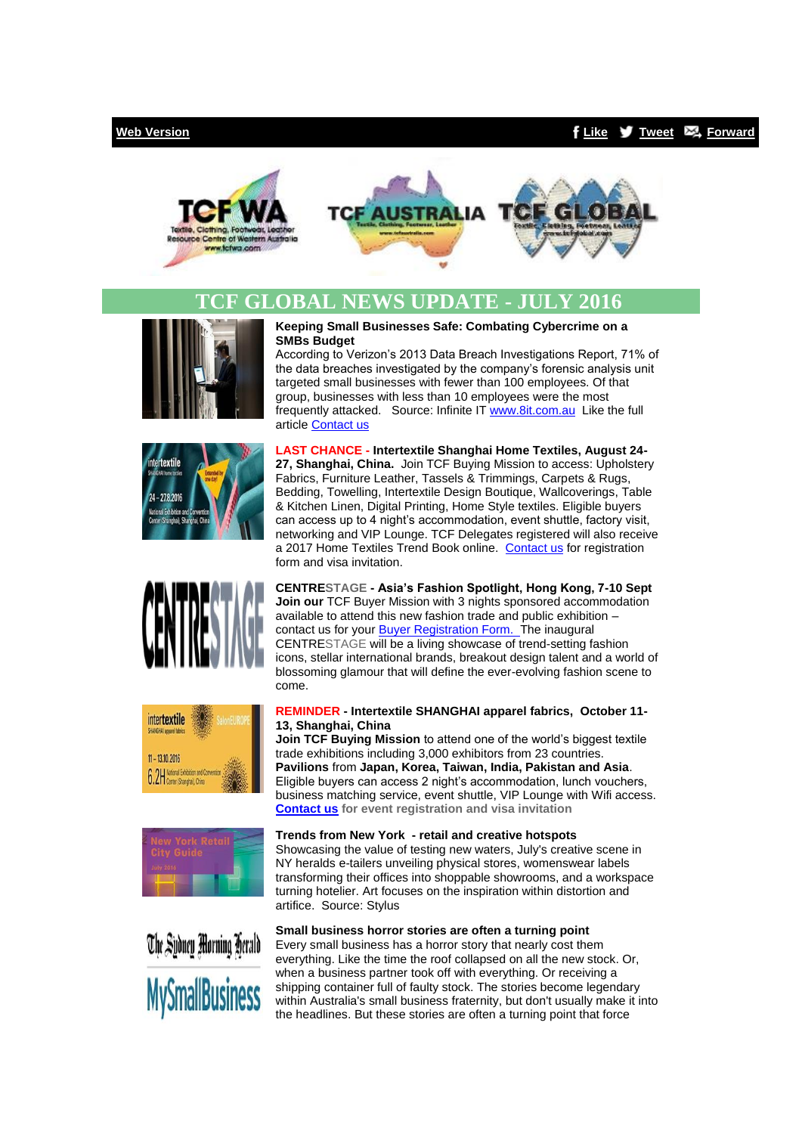### **[Web Version](http://bbec.bridgewaymailer.com/t/j-e-kiqoy-cfliira-y/) [Like](http://bbec.bridgewaymailer.com/t/j-fb-kiqoy-cfliira-h/) [Tweet](http://bbec.bridgewaymailer.com/t/j-tw-kiqoy-cfliira-u/) [Forward](http://belmontbec.forwardtomyfriend.com/j-cfliira-32345081-kiqoy-l-b)**





# **TCF GLOBAL NEWS UPDATE - JULY 2016**













#### **Keeping Small Businesses Safe: Combating Cybercrime on a SMBs Budget**

According to Verizon's 2013 Data Breach Investigations Report, 71% of the data breaches investigated by the company's forensic analysis unit targeted small businesses with fewer than 100 employees. Of that group, businesses with less than 10 employees were the most frequently attacked. Source: Infinite I[T www.8it.com.au](http://bbec.bridgewaymailer.com/t/j-l-kiqoy-cfliira-p/) Like the full article [Contact us](mailto:support@belmontbec.com?subject=Re%3A%20Keeping%20Small%20Businesses%20Safe%3A%20Combating%20Cybercrime%20on%20a%20SMBs%20Budget)

**LAST CHANCE - Intertextile Shanghai Home Textiles, August 24- 27, Shanghai, China.** Join TCF Buying Mission to access: Upholstery Fabrics, Furniture Leather, Tassels & Trimmings, Carpets & Rugs, Bedding, Towelling, Intertextile Design Boutique, Wallcoverings, Table & Kitchen Linen, Digital Printing, Home Style textiles. Eligible buyers can access up to 4 night's accommodation, event shuttle, factory visit, networking and VIP Lounge. TCF Delegates registered will also receive a 2017 Home Textiles Trend Book online. [Contact us](mailto:events@tcfwa.com?subject=Re%3A%20LAST%20CHANCE%20-%20Intertextile%20Shanghai%20Home%20Textiles%2C%20August%2024-27%2C%20Shanghai%2C%20China.) for registration form and visa invitation.

**CENTRESTAGE - Asia's Fashion Spotlight, Hong Kong, 7-10 Sept Join our** TCF Buyer Mission with 3 nights sponsored accommodation available to attend this new fashion trade and public exhibition – contact us for your **Buyer Registration Form.** The inaugural CENTRESTAGE will be a living showcase of trend-setting fashion icons, stellar international brands, breakout design talent and a world of blossoming glamour that will define the ever-evolving fashion scene to come.

#### **REMINDER - Intertextile SHANGHAI apparel fabrics, October 11- 13, Shanghai, China**

**Join TCF Buying Mission** to attend one of the world's biggest textile trade exhibitions including 3,000 exhibitors from 23 countries. **Pavilions** from **Japan, Korea, Taiwan, India, Pakistan and Asia**. Eligible buyers can access 2 night's accommodation, lunch vouchers, business matching service, event shuttle, VIP Lounge with Wifi access. **[Contact us](mailto:events@tcfwa.com?subject=Re%3A%20REMINDER%20-%20Intertextile%20SHANGHAI%20apparel%20fabrics%2C%20%20October%2011-13%2C%20Shanghai%2C%20China) for event registration and visa invitation**

# **Trends from New York - retail and creative hotspots**

Showcasing the value of testing new waters, July's creative scene in NY heralds e-tailers unveiling physical stores, womenswear labels transforming their offices into shoppable showrooms, and a workspace turning hotelier. Art focuses on the inspiration within distortion and artifice. Source: Stylus

## **Small business horror stories are often a turning point**

Every small business has a horror story that nearly cost them everything. Like the time the roof collapsed on all the new stock. Or, when a business partner took off with everything. Or receiving a shipping container full of faulty stock. The stories become legendary within Australia's small business fraternity, but don't usually make it into the headlines. But these stories are often a turning point that force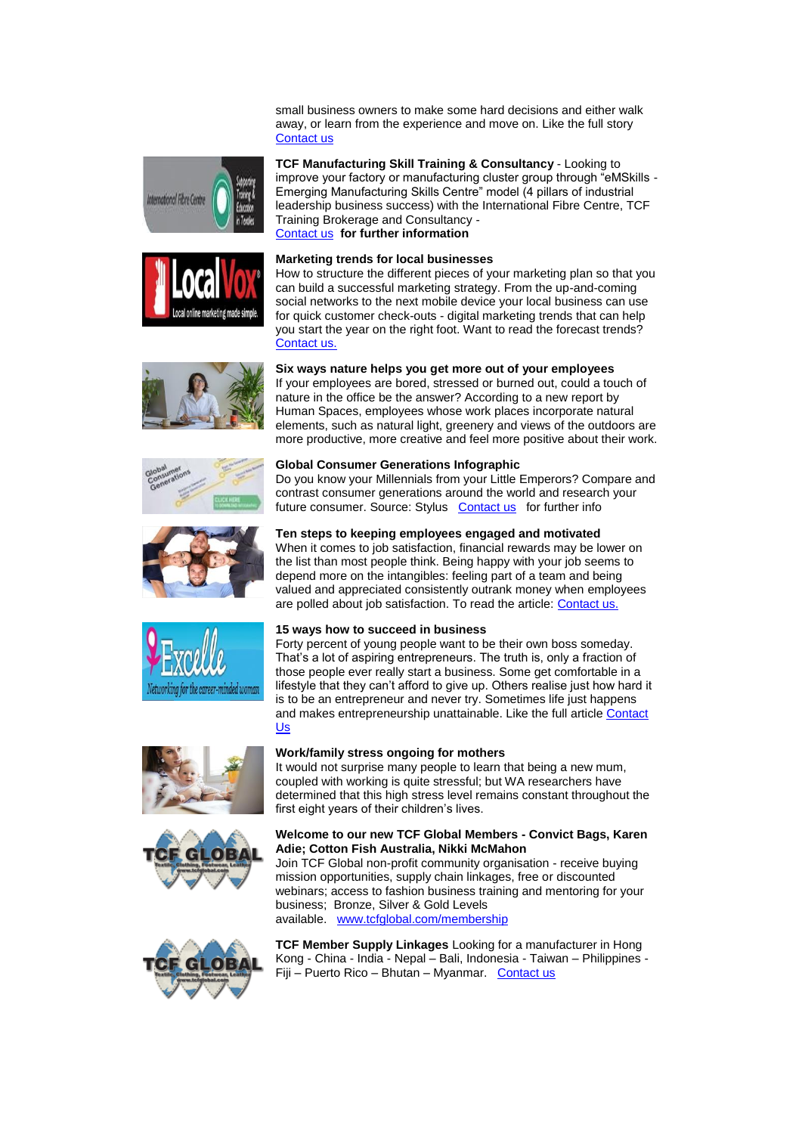small business owners to make some hard decisions and either walk away, or learn from the experience and move on. Like the full story [Contact us](mailto:support@belmontbec.com?subject=Re%3A%20Small%20business%20horror%20stories%20are%20often%20a%20turning%20point)



















#### **Marketing trends for local businesses**

How to structure the different pieces of your marketing plan so that you can build a successful marketing strategy. From the up-and-coming social networks to the next mobile device your local business can use for quick customer check-outs - digital marketing trends that can help you start the year on the right foot. Want to read the forecast trends? [Contact us.](mailto:support@belmontbec.com?subject=Re%3AMarketing%20trends%20for%20local%20businesses)

#### **Six ways nature helps you get more out of your employees**

If your employees are bored, stressed or burned out, could a touch of nature in the office be the answer? According to a new report by Human Spaces, employees whose work places incorporate natural elements, such as natural light, greenery and views of the outdoors are more productive, more creative and feel more positive about their work.

#### **Global Consumer Generations Infographic**

Do you know your Millennials from your Little Emperors? Compare and contrast consumer generations around the world and research your future consumer. Source: Stylus [Contact us](mailto:support@belmontbec.com?subject=Re%3A%20Global%20Consumer%20Generations%20Infographic) for further info

#### **Ten steps to keeping employees engaged and motivated**

When it comes to job satisfaction, financial rewards may be lower on the list than most people think. Being happy with your job seems to depend more on the intangibles: feeling part of a team and being valued and appreciated consistently outrank money when employees are polled about job satisfaction. To read the article: [Contact us.](mailto:support@belmontbec.com?subject=Re%3A%20Ten%20steps%20to%20keeping%20employees%20engaged%20and%20motivated)

#### **15 ways how to succeed in business**

Forty percent of young people want to be their own boss someday. That's a lot of aspiring entrepreneurs. The truth is, only a fraction of those people ever really start a business. Some get comfortable in a lifestyle that they can't afford to give up. Others realise just how hard it is to be an entrepreneur and never try. Sometimes life just happens and makes entrepreneurship unattainable. Like the full article Contact [Us](mailto:support@belmontbec.com?subject=Re%3A%2015%20ways%20how%20to%20succeed%20in%20business)

#### **Work/family stress ongoing for mothers**

It would not surprise many people to learn that being a new mum, coupled with working is quite stressful; but WA researchers have determined that this high stress level remains constant throughout the first eight years of their children's lives.

#### **Welcome to our new TCF Global Members - Convict Bags, Karen Adie; Cotton Fish Australia, Nikki McMahon**

Join TCF Global non-profit community organisation - receive buying mission opportunities, supply chain linkages, free or discounted webinars; access to fashion business training and mentoring for your business; Bronze, Silver & Gold Levels available. [www.tcfglobal.com/membership](http://bbec.bridgewaymailer.com/t/j-l-kiqoy-cfliira-x/)



**TCF Member Supply Linkages** Looking for a manufacturer in Hong Kong - China - India - Nepal – Bali, Indonesia - Taiwan – Philippines - Fiji – Puerto Rico – Bhutan – Myanmar. [Contact us](mailto:support@tcfwa.com?subject=Re%3A%20TCF%20Member%20Supply%20Linkages)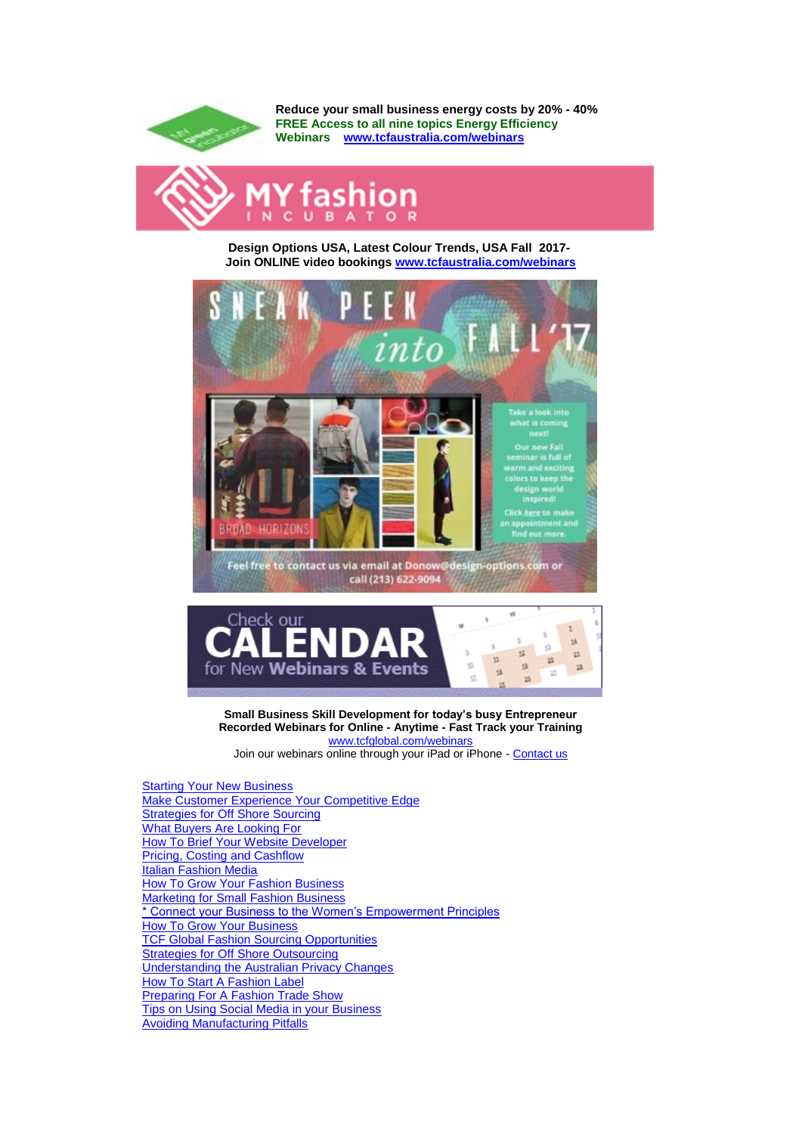

**Reduce your small business energy costs by 20% - 40% FREE Access to all nine topics Energy Efficiency Webinars [www.tcfaustralia.com/webinars](http://bbec.bridgewaymailer.com/t/j-l-kiqoy-cfliira-m/)**



**Design Options USA, Latest Colour Trends, USA Fall 2017- Join ONLINE video bookings [www.tcfaustralia.com/webinars](http://bbec.bridgewaymailer.com/t/j-l-kiqoy-cfliira-c/)**





**Small Business Skill Development for today's busy Entrepreneur Recorded Webinars for Online - Anytime - Fast Track your Training** [www.tcfglobal.com/webinars](http://bbec.bridgewaymailer.com/t/j-l-kiqoy-cfliira-q/) Join our webinars online through your iPad or iPhone - [Contact us](mailto:support@belmontbec.com?subject=Question%20-%20how%20to%20access%20the%20webinar%20on%20iPad%20or%20iPhone)

[Starting Your New Business](http://bbec.bridgewaymailer.com/t/j-l-kiqoy-cfliira-a/) [Make Customer Experience Your Competitive Edge](http://bbec.bridgewaymailer.com/t/j-l-kiqoy-cfliira-a/) **[Strategies for Off Shore Sourcing](http://bbec.bridgewaymailer.com/t/j-l-kiqoy-cfliira-a/)** [What Buyers Are Looking For](http://bbec.bridgewaymailer.com/t/j-l-kiqoy-cfliira-a/) [How To Brief Your Website Developer](http://bbec.bridgewaymailer.com/t/j-l-kiqoy-cfliira-a/) [Pricing, Costing and Cashflow](http://bbec.bridgewaymailer.com/t/j-l-kiqoy-cfliira-a/) [Italian Fashion Media](http://bbec.bridgewaymailer.com/t/j-l-kiqoy-cfliira-a/) [How To Grow Your Fashion Business](http://bbec.bridgewaymailer.com/t/j-l-kiqoy-cfliira-a/) **[Marketing for Small Fashion Business](http://bbec.bridgewaymailer.com/t/j-l-kiqoy-cfliira-a/)** [\\* Connect your Business to the Women's Empowerment Principles](http://bbec.bridgewaymailer.com/t/j-l-kiqoy-cfliira-a/) [How To Grow Your Business](http://bbec.bridgewaymailer.com/t/j-l-kiqoy-cfliira-a/) **[TCF Global Fashion Sourcing Opportunities](http://bbec.bridgewaymailer.com/t/j-l-kiqoy-cfliira-a/)** [Strategies for Off Shore Outsourcing](http://bbec.bridgewaymailer.com/t/j-l-kiqoy-cfliira-a/) [Understanding the Australian Privacy Changes](http://bbec.bridgewaymailer.com/t/j-l-kiqoy-cfliira-a/) [How To Start A Fashion Label](http://bbec.bridgewaymailer.com/t/j-l-kiqoy-cfliira-a/) [Preparing For A Fashion Trade Show](http://bbec.bridgewaymailer.com/t/j-l-kiqoy-cfliira-a/) [Tips on Using Social Media in your Business](http://bbec.bridgewaymailer.com/t/j-l-kiqoy-cfliira-a/) [Avoiding Manufacturing Pitfalls](http://bbec.bridgewaymailer.com/t/j-l-kiqoy-cfliira-a/)